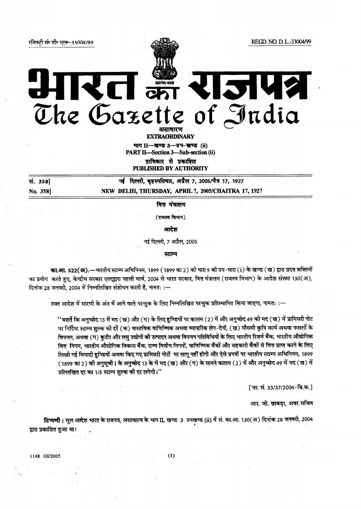fire"! 1:19 3% REP-33004199 REGD. NO. D.L.-33004/99

 $\frac{1}{\gamma}$ 

2142 @1122 Gazette of Judi

. EXTRAORDINARY

भाग II-खण्ड 3-उप-खण्ड (ii) PART II—Section 3—Sub-section (ii)<br>प्राधिकार से प्रकाशित<br>PIERI ISHED BY ATTHORITY

PUBLISHED BY AUTHORITY

...<br>सं. 358] नई दिल्ली, बृहस्पतिवार, अप्रैल 7, 2005/चैत्र 17, 1927 No. 358] NEW DELHI, THURSDAY, APRIL 7, 2005/CHAITRA 17, 1927

रत क्र

वित्त मंत्रालय

 $(\pi$ जस्व विभाग)

आदेश

नई दिल्ली, 7 अप्रैल, 2005

स्टाम्प

का.आ. 522(अ).—भारतीय स्टाम्प अधिनियम, 1899 (1899 का 2) को धारा 9 को उप-धारा (i) के खण्ड (ख) द्वारा प्रदत्त शक्तियों का प्रयोग करते हुए, केन्द्रीय सरकार एतद्द्वारा पहली मार्च, 2004 से भारत सरकार, वित्त मंत्रालय (राजस्व विभाग) के आदेश संख्या 130(अ), दिनांक 28 जनवरी, 2004 में निम्नलिखित संशोधन करती है, नामत: :--

उक्त आदेश में सारणी के अंत में आने वाले परन्तुक के लिए निम्नलिखित परन्तुक प्रतिस्थापित किया जाएगा, नामत: :—

'' बशर्ते कि अनुच्छेद 13 में मद ( ख) और (ग) के लिए हुण्डियों पर कालम (2) में और अनुच्छेद 49 की मद ( ख) में प्रामिसरी नोट र्णियाला के प्रश्न के लिए पर स्थान के बार से स्टेड के लिए समारा स्टेट के लिए मुझे करने के लिए मान स्टेड के लिए<br>पर निर्दिष्ट स्टाम्प शुल्क की दर्रे (क) वास्तविक वाणिज्यिक अथवा व्यापारिक लेन-देनों, (ख) मौसमी कृषि कार्य अथवा विपणन, अथवा (ग) कुटीर और लघु उद्योगों की उत्पादन अथवा विपणन गतिविधियों के लिए भारतीय रिजर्व बैंक, भारतीय औद्योगिक<br>वित्त निगम, भारतीय औद्योगिक विकास बैंक, राज्य वित्तीय निगमों, वाणिज्यिक बैंकों और सहकारी बैंकों से वित्त प लिखी गई मियादी हुण्डियों अथवा किए गए प्रामिसरी नोटों पर लागू नहीं होगी और ऐसे प्रपत्रों पर भारतीय स्टाम्प अधिनियम, 1899 (1899 का 2) की अनुसूची I के अनुच्छेद 13 के में मद (ख) और (ग) के सामने कालम (2) में और अनुच्छेद 49 में मद (ख) में उल्लिखित दर का 1/5 स्टाम्प शुल्क की दर लगेगी।''

[फा. सं. 33/37/2004-बि.क.]

आर. जी. छाबड़ा, अवर सचिव

टिप्पणी: मूल आदेश भारत के राजपत्र, असाधारण के भाग II, खण्ड 3 उपखण्ड (ii) में सं. का.आ. 130(अ) दिनांक 28 जनवरी, 2004 द्वारा प्रकाशित हुआ था।

114s 61/2005 (1)